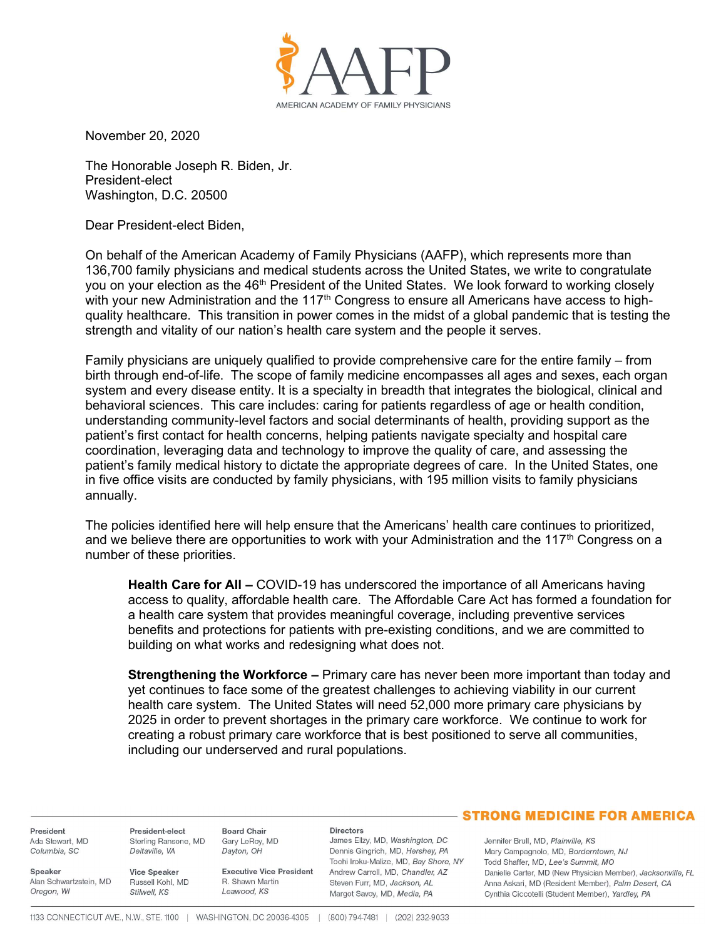

November 20, 2020

The Honorable Joseph R. Biden, Jr. President-elect Washington, D.C. 20500

Dear President-elect Biden,

On behalf of the American Academy of Family Physicians (AAFP), which represents more than 136,700 family physicians and medical students across the United States, we write to congratulate you on your election as the 46<sup>th</sup> President of the United States. We look forward to working closely with your new Administration and the 117<sup>th</sup> Congress to ensure all Americans have access to highquality healthcare. This transition in power comes in the midst of a global pandemic that is testing the strength and vitality of our nation's health care system and the people it serves.

Family physicians are uniquely qualified to provide comprehensive care for the entire family – from birth through end-of-life. The scope of family medicine encompasses all ages and sexes, each organ system and every disease entity. It is a specialty in breadth that integrates the biological, clinical and behavioral sciences. This care includes: caring for patients regardless of age or health condition, understanding community-level factors and social determinants of health, providing support as the patient's first contact for health concerns, helping patients navigate specialty and hospital care coordination, leveraging data and technology to improve the quality of care, and assessing the patient's family medical history to dictate the appropriate degrees of care. In the United States, one in five office visits are conducted by family physicians, with 195 million visits to family physicians annually.

The policies identified here will help ensure that the Americans' health care continues to prioritized, and we believe there are opportunities to work with your Administration and the 117<sup>th</sup> Congress on a number of these priorities.

Health Care for All - COVID-19 has underscored the importance of all Americans having access to quality, affordable health care. The Affordable Care Act has formed a foundation for a health care system that provides meaningful coverage, including preventive services benefits and protections for patients with pre-existing conditions, and we are committed to building on what works and redesigning what does not.

**Strengthening the Workforce –** Primary care has never been more important than today and yet continues to face some of the greatest challenges to achieving viability in our current health care system. The United States will need 52,000 more primary care physicians by 2025 in order to prevent shortages in the primary care workforce. We continue to work for creating a robust primary care workforce that is best positioned to serve all communities, including our underserved and rural populations.

President Ada Stewart, MD Columbia, SC

Speaker

Oregon, WI

President-elect Sterling Ransone, MD Deltaville, VA

Vice Speaker Alan Schwartzstein, MD Russell Kohl, MD Stilwell, KS

**Executive Vice President** R. Shawn Martin Leawood, KS

## **Directors**

James Ellzy, MD, Washington, DC Dennis Gingrich, MD, Hershey, PA Tochi Iroku-Malize, MD, Bay Shore, NY Andrew Carroll, MD, Chandler, AZ Steven Furr, MD, Jackson, AL Margot Savoy, MD, Media, PA

## **STRONG MEDICINE FOR AMERICA**

Jennifer Brull, MD, Plainville, KS Mary Campagnolo, MD, Borderntown, NJ Todd Shaffer, MD, Lee's Summit, MO Danielle Carter, MD (New Physician Member), Jacksonville, FL Anna Askari, MD (Resident Member), Palm Desert, CA Cynthia Ciccotelli (Student Member), Yardley, PA

**Board Chair** 

Dayton, OH

Gary LeRoy, MD